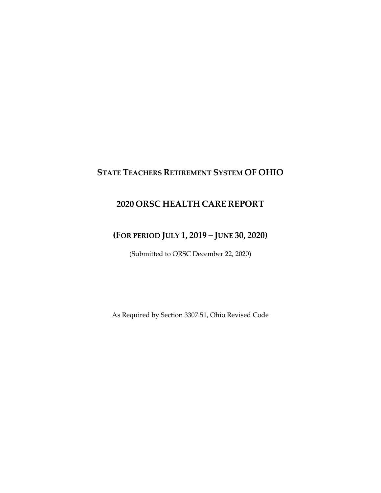## **STATE TEACHERS RETIREMENT SYSTEM OF OHIO**

## **2020 ORSC HEALTH CARE REPORT**

## **(FOR PERIOD JULY 1, 2019 – JUNE 30, 2020)**

(Submitted to ORSC December 22, 2020)

As Required by Section 3307.51, Ohio Revised Code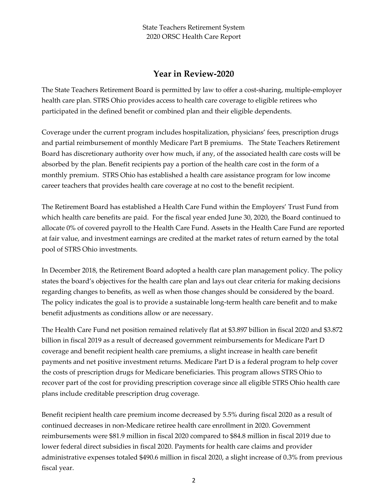## **Year in Review-2020**

The State Teachers Retirement Board is permitted by law to offer a cost-sharing, multiple-employer health care plan. STRS Ohio provides access to health care coverage to eligible retirees who participated in the defined benefit or combined plan and their eligible dependents.

Coverage under the current program includes hospitalization, physicians' fees, prescription drugs and partial reimbursement of monthly Medicare Part B premiums. The State Teachers Retirement Board has discretionary authority over how much, if any, of the associated health care costs will be absorbed by the plan. Benefit recipients pay a portion of the health care cost in the form of a monthly premium. STRS Ohio has established a health care assistance program for low income career teachers that provides health care coverage at no cost to the benefit recipient.

The Retirement Board has established a Health Care Fund within the Employers' Trust Fund from which health care benefits are paid. For the fiscal year ended June 30, 2020, the Board continued to allocate 0% of covered payroll to the Health Care Fund. Assets in the Health Care Fund are reported at fair value, and investment earnings are credited at the market rates of return earned by the total pool of STRS Ohio investments.

In December 2018, the Retirement Board adopted a health care plan management policy. The policy states the board's objectives for the health care plan and lays out clear criteria for making decisions regarding changes to benefits, as well as when those changes should be considered by the board. The policy indicates the goal is to provide a sustainable long-term health care benefit and to make benefit adjustments as conditions allow or are necessary.

The Health Care Fund net position remained relatively flat at \$3.897 billion in fiscal 2020 and \$3.872 billion in fiscal 2019 as a result of decreased government reimbursements for Medicare Part D coverage and benefit recipient health care premiums, a slight increase in health care benefit payments and net positive investment returns. Medicare Part D is a federal program to help cover the costs of prescription drugs for Medicare beneficiaries. This program allows STRS Ohio to recover part of the cost for providing prescription coverage since all eligible STRS Ohio health care plans include creditable prescription drug coverage.

Benefit recipient health care premium income decreased by 5.5% during fiscal 2020 as a result of continued decreases in non-Medicare retiree health care enrollment in 2020. Government reimbursements were \$81.9 million in fiscal 2020 compared to \$84.8 million in fiscal 2019 due to lower federal direct subsidies in fiscal 2020. Payments for health care claims and provider administrative expenses totaled \$490.6 million in fiscal 2020, a slight increase of 0.3% from previous fiscal year.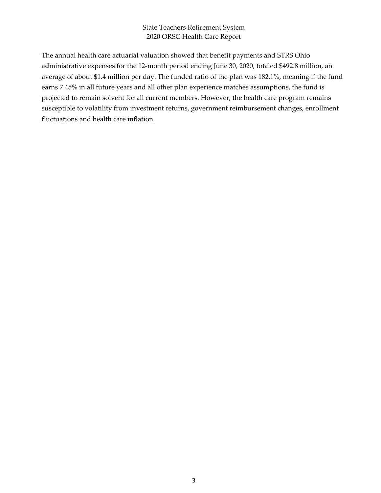The annual health care actuarial valuation showed that benefit payments and STRS Ohio administrative expenses for the 12-month period ending June 30, 2020, totaled \$492.8 million, an average of about \$1.4 million per day. The funded ratio of the plan was 182.1%, meaning if the fund earns 7.45% in all future years and all other plan experience matches assumptions, the fund is projected to remain solvent for all current members. However, the health care program remains susceptible to volatility from investment returns, government reimbursement changes, enrollment fluctuations and health care inflation.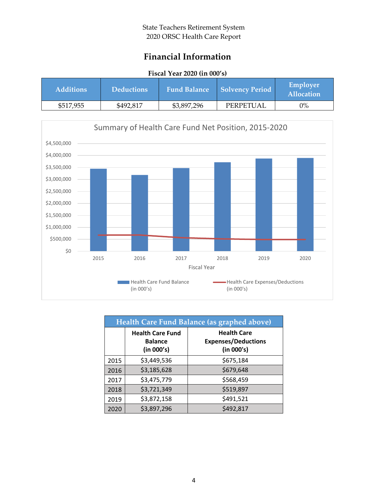## **Financial Information**

### **Fiscal Year 2020 (in 000's)**

| <b>Additions</b> | <b>Deductions</b> | <b>Fund Balance</b> | Solvency Period | <b>Employer</b><br><b>Allocation</b> |
|------------------|-------------------|---------------------|-----------------|--------------------------------------|
| \$517,955        | \$492,817         | \$3,897,296         | PERPETUAL       | $0\%$                                |



| Health Care Fund Balance (as graphed above) |                                                         |                                                                |  |
|---------------------------------------------|---------------------------------------------------------|----------------------------------------------------------------|--|
|                                             | <b>Health Care Fund</b><br><b>Balance</b><br>(in 000's) | <b>Health Care</b><br><b>Expenses/Deductions</b><br>(in 000's) |  |
| 2015                                        | \$3,449,536                                             | \$675,184                                                      |  |
| 2016                                        | \$3,185,628                                             | \$679,648                                                      |  |
| 2017                                        | \$3,475,779                                             | \$568,459                                                      |  |
| 2018                                        | \$3,721,349                                             | \$519,897                                                      |  |
| 2019                                        | \$3,872,158                                             | \$491,521                                                      |  |
| 2020                                        | \$3,897,296                                             | \$492,817                                                      |  |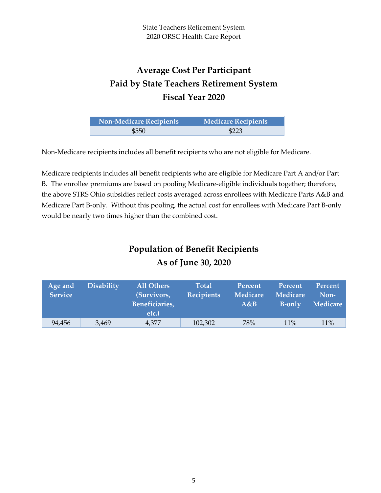# **Average Cost Per Participant Paid by State Teachers Retirement System Fiscal Year 2020**

| <b>Non-Medicare Recipients</b> | Medicare Recipients |
|--------------------------------|---------------------|
| \$550                          | \$223               |

Non-Medicare recipients includes all benefit recipients who are not eligible for Medicare.

Medicare recipients includes all benefit recipients who are eligible for Medicare Part A and/or Part B. The enrollee premiums are based on pooling Medicare-eligible individuals together; therefore, the above STRS Ohio subsidies reflect costs averaged across enrollees with Medicare Parts A&B and Medicare Part B-only. Without this pooling, the actual cost for enrollees with Medicare Part B-only would be nearly two times higher than the combined cost.

# **Population of Benefit Recipients As of June 30, 2020**

| Age and<br><b>Service</b> | <b>Disability</b> | <b>All Others</b><br>(Survivors,<br>Beneficiaries,<br>etc.) | <b>Total</b><br><b>Recipients</b> | Percent<br><b>Medicare</b><br>A&B | Percent<br><b>Medicare</b><br><b>B-only</b> | Percent<br>Non-<br><b>Medicare</b> |
|---------------------------|-------------------|-------------------------------------------------------------|-----------------------------------|-----------------------------------|---------------------------------------------|------------------------------------|
| 94,456                    | 3,469             | 4,377                                                       | 102,302                           | 78%                               | 11%                                         | 11%                                |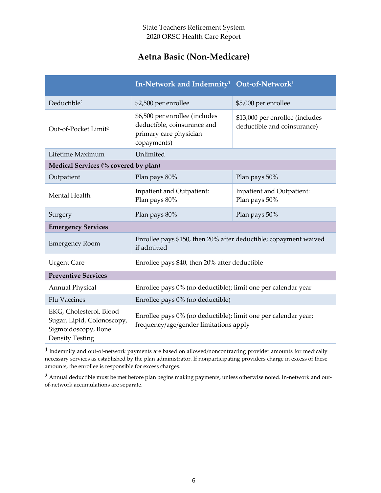## **Aetna Basic (Non-Medicare)**

|                                                                                                        | In-Network and Indemnity <sup>1</sup> Out-of-Network <sup>1</sup>                                        |                                                                |  |  |
|--------------------------------------------------------------------------------------------------------|----------------------------------------------------------------------------------------------------------|----------------------------------------------------------------|--|--|
| Deductible <sup>2</sup>                                                                                | \$2,500 per enrollee                                                                                     | \$5,000 per enrollee                                           |  |  |
| Out-of-Pocket Limit <sup>2</sup>                                                                       | \$6,500 per enrollee (includes<br>deductible, coinsurance and<br>primary care physician<br>copayments)   | \$13,000 per enrollee (includes<br>deductible and coinsurance) |  |  |
| Lifetime Maximum                                                                                       | Unlimited                                                                                                |                                                                |  |  |
| Medical Services (% covered by plan)                                                                   |                                                                                                          |                                                                |  |  |
| Outpatient                                                                                             | Plan pays 80%                                                                                            | Plan pays 50%                                                  |  |  |
| Mental Health                                                                                          | Inpatient and Outpatient:<br>Plan pays 80%                                                               | Inpatient and Outpatient:<br>Plan pays 50%                     |  |  |
| Surgery                                                                                                | Plan pays 80%                                                                                            | Plan pays 50%                                                  |  |  |
| <b>Emergency Services</b>                                                                              |                                                                                                          |                                                                |  |  |
| <b>Emergency Room</b>                                                                                  | Enrollee pays \$150, then 20% after deductible; copayment waived<br>if admitted                          |                                                                |  |  |
| <b>Urgent Care</b>                                                                                     | Enrollee pays \$40, then 20% after deductible                                                            |                                                                |  |  |
| <b>Preventive Services</b>                                                                             |                                                                                                          |                                                                |  |  |
| <b>Annual Physical</b>                                                                                 | Enrollee pays 0% (no deductible); limit one per calendar year                                            |                                                                |  |  |
| <b>Flu Vaccines</b>                                                                                    | Enrollee pays 0% (no deductible)                                                                         |                                                                |  |  |
| EKG, Cholesterol, Blood<br>Sugar, Lipid, Colonoscopy,<br>Sigmoidoscopy, Bone<br><b>Density Testing</b> | Enrollee pays 0% (no deductible); limit one per calendar year;<br>frequency/age/gender limitations apply |                                                                |  |  |

**1** Indemnity and out-of-network payments are based on allowed/noncontracting provider amounts for medically necessary services as established by the plan administrator. If nonparticipating providers charge in excess of these amounts, the enrollee is responsible for excess charges.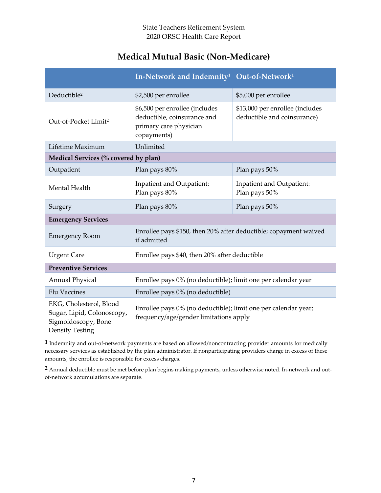## **Medical Mutual Basic (Non-Medicare)**

|                                                                                                        | In-Network and Indemnity <sup>1</sup> Out-of-Network <sup>1</sup>                                        |                                                                |  |
|--------------------------------------------------------------------------------------------------------|----------------------------------------------------------------------------------------------------------|----------------------------------------------------------------|--|
| Deductible <sup>2</sup>                                                                                | \$2,500 per enrollee                                                                                     | \$5,000 per enrollee                                           |  |
| Out-of-Pocket Limit <sup>2</sup>                                                                       | \$6,500 per enrollee (includes<br>deductible, coinsurance and<br>primary care physician<br>copayments)   | \$13,000 per enrollee (includes<br>deductible and coinsurance) |  |
| Lifetime Maximum                                                                                       | Unlimited                                                                                                |                                                                |  |
| Medical Services (% covered by plan)                                                                   |                                                                                                          |                                                                |  |
| Outpatient                                                                                             | Plan pays 80%                                                                                            | Plan pays 50%                                                  |  |
| Mental Health                                                                                          | Inpatient and Outpatient:<br>Plan pays 80%                                                               | Inpatient and Outpatient:<br>Plan pays 50%                     |  |
| Surgery                                                                                                | Plan pays 80%                                                                                            | Plan pays 50%                                                  |  |
| <b>Emergency Services</b>                                                                              |                                                                                                          |                                                                |  |
| <b>Emergency Room</b>                                                                                  | Enrollee pays \$150, then 20% after deductible; copayment waived<br>if admitted                          |                                                                |  |
| <b>Urgent Care</b>                                                                                     | Enrollee pays \$40, then 20% after deductible                                                            |                                                                |  |
| <b>Preventive Services</b>                                                                             |                                                                                                          |                                                                |  |
| <b>Annual Physical</b>                                                                                 | Enrollee pays 0% (no deductible); limit one per calendar year                                            |                                                                |  |
| <b>Flu Vaccines</b>                                                                                    | Enrollee pays 0% (no deductible)                                                                         |                                                                |  |
| EKG, Cholesterol, Blood<br>Sugar, Lipid, Colonoscopy,<br>Sigmoidoscopy, Bone<br><b>Density Testing</b> | Enrollee pays 0% (no deductible); limit one per calendar year;<br>frequency/age/gender limitations apply |                                                                |  |

**1** Indemnity and out-of-network payments are based on allowed/noncontracting provider amounts for medically necessary services as established by the plan administrator. If nonparticipating providers charge in excess of these amounts, the enrollee is responsible for excess charges.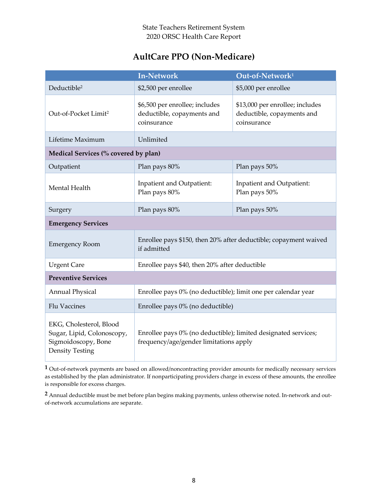## **AultCare PPO (Non-Medicare)**

|                                                                                                        | <b>In-Network</b>                                                                                        | Out-of-Network <sup>1</sup>                                                  |
|--------------------------------------------------------------------------------------------------------|----------------------------------------------------------------------------------------------------------|------------------------------------------------------------------------------|
| Deductible <sup>2</sup>                                                                                | \$2,500 per enrollee                                                                                     | \$5,000 per enrollee                                                         |
| Out-of-Pocket Limit <sup>2</sup>                                                                       | \$6,500 per enrollee; includes<br>deductible, copayments and<br>coinsurance                              | \$13,000 per enrollee; includes<br>deductible, copayments and<br>coinsurance |
| Lifetime Maximum                                                                                       | Unlimited                                                                                                |                                                                              |
| Medical Services (% covered by plan)                                                                   |                                                                                                          |                                                                              |
| Outpatient                                                                                             | Plan pays 80%                                                                                            | Plan pays 50%                                                                |
| Mental Health                                                                                          | Inpatient and Outpatient:<br>Plan pays 80%                                                               | Inpatient and Outpatient:<br>Plan pays 50%                                   |
| Surgery                                                                                                | Plan pays 80%                                                                                            | Plan pays 50%                                                                |
| <b>Emergency Services</b>                                                                              |                                                                                                          |                                                                              |
| <b>Emergency Room</b>                                                                                  | Enrollee pays \$150, then 20% after deductible; copayment waived<br>if admitted                          |                                                                              |
| <b>Urgent Care</b>                                                                                     | Enrollee pays \$40, then 20% after deductible                                                            |                                                                              |
| <b>Preventive Services</b>                                                                             |                                                                                                          |                                                                              |
| <b>Annual Physical</b>                                                                                 | Enrollee pays 0% (no deductible); limit one per calendar year                                            |                                                                              |
| <b>Flu Vaccines</b>                                                                                    | Enrollee pays 0% (no deductible)                                                                         |                                                                              |
| EKG, Cholesterol, Blood<br>Sugar, Lipid, Colonoscopy,<br>Sigmoidoscopy, Bone<br><b>Density Testing</b> | Enrollee pays 0% (no deductible); limited designated services;<br>frequency/age/gender limitations apply |                                                                              |

**1** Out-of-network payments are based on allowed/noncontracting provider amounts for medically necessary services as established by the plan administrator. If nonparticipating providers charge in excess of these amounts, the enrollee is responsible for excess charges.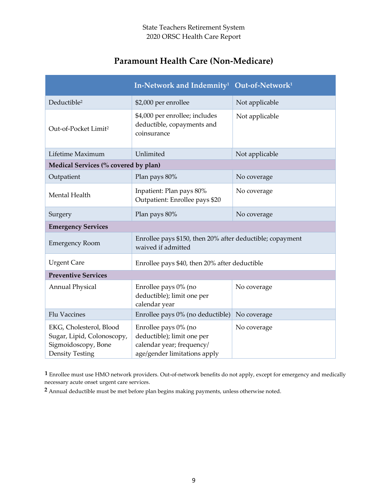# **Paramount Health Care (Non-Medicare)**

|                                                                                                        | In-Network and Indemnity <sup>1</sup> Out-of-Network <sup>1</sup>                                               |                |  |  |
|--------------------------------------------------------------------------------------------------------|-----------------------------------------------------------------------------------------------------------------|----------------|--|--|
| Deductible <sup>2</sup>                                                                                | \$2,000 per enrollee                                                                                            | Not applicable |  |  |
| Out-of-Pocket Limit <sup>2</sup>                                                                       | \$4,000 per enrollee; includes<br>deductible, copayments and<br>coinsurance                                     | Not applicable |  |  |
| Lifetime Maximum                                                                                       | Unlimited                                                                                                       | Not applicable |  |  |
| Medical Services (% covered by plan)                                                                   |                                                                                                                 |                |  |  |
| Outpatient                                                                                             | Plan pays 80%                                                                                                   | No coverage    |  |  |
| Mental Health                                                                                          | Inpatient: Plan pays 80%<br>Outpatient: Enrollee pays \$20                                                      | No coverage    |  |  |
| Surgery                                                                                                | Plan pays 80%                                                                                                   | No coverage    |  |  |
| <b>Emergency Services</b>                                                                              |                                                                                                                 |                |  |  |
| <b>Emergency Room</b>                                                                                  | Enrollee pays \$150, then 20% after deductible; copayment<br>waived if admitted                                 |                |  |  |
| <b>Urgent Care</b>                                                                                     | Enrollee pays \$40, then 20% after deductible                                                                   |                |  |  |
| <b>Preventive Services</b>                                                                             |                                                                                                                 |                |  |  |
| <b>Annual Physical</b>                                                                                 | Enrollee pays 0% (no<br>deductible); limit one per<br>calendar year                                             | No coverage    |  |  |
| <b>Flu Vaccines</b>                                                                                    | Enrollee pays 0% (no deductible)                                                                                | No coverage    |  |  |
| EKG, Cholesterol, Blood<br>Sugar, Lipid, Colonoscopy,<br>Sigmoidoscopy, Bone<br><b>Density Testing</b> | Enrollee pays 0% (no<br>deductible); limit one per<br>calendar year; frequency/<br>age/gender limitations apply | No coverage    |  |  |

**1** Enrollee must use HMO network providers. Out-of-network benefits do not apply, except for emergency and medically necessary acute onset urgent care services.

**2** Annual deductible must be met before plan begins making payments, unless otherwise noted.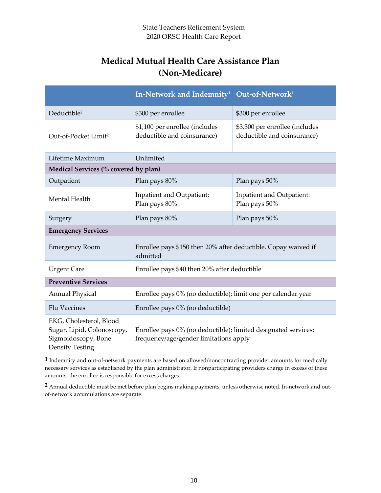## **Medical Mutual Health Care Assistance Plan (Non-Medicare)**

|                                                                                                        | In-Network and Indemnity <sup>1</sup> Out-of-Network <sup>1</sup>                                        |                                                               |  |  |
|--------------------------------------------------------------------------------------------------------|----------------------------------------------------------------------------------------------------------|---------------------------------------------------------------|--|--|
| Deductible <sup>2</sup>                                                                                | \$300 per enrollee                                                                                       | \$300 per enrollee                                            |  |  |
| Out-of-Pocket Limit <sup>2</sup>                                                                       | \$1,100 per enrollee (includes<br>deductible and coinsurance)                                            | \$3,300 per enrollee (includes<br>deductible and coinsurance) |  |  |
| Lifetime Maximum                                                                                       | Unlimited                                                                                                |                                                               |  |  |
| Medical Services (% covered by plan)                                                                   |                                                                                                          |                                                               |  |  |
| Outpatient                                                                                             | Plan pays 80%                                                                                            | Plan pays 50%                                                 |  |  |
| Mental Health                                                                                          | Inpatient and Outpatient:<br>Plan pays 80%                                                               | Inpatient and Outpatient:<br>Plan pays 50%                    |  |  |
| Surgery                                                                                                | Plan pays 80%                                                                                            | Plan pays 50%                                                 |  |  |
| <b>Emergency Services</b>                                                                              |                                                                                                          |                                                               |  |  |
| <b>Emergency Room</b>                                                                                  | Enrollee pays \$150 then 20% after deductible. Copay waived if<br>admitted                               |                                                               |  |  |
| <b>Urgent Care</b>                                                                                     | Enrollee pays \$40 then 20% after deductible                                                             |                                                               |  |  |
| <b>Preventive Services</b>                                                                             |                                                                                                          |                                                               |  |  |
| <b>Annual Physical</b>                                                                                 | Enrollee pays 0% (no deductible); limit one per calendar year                                            |                                                               |  |  |
| <b>Flu Vaccines</b>                                                                                    | Enrollee pays 0% (no deductible)                                                                         |                                                               |  |  |
| EKG, Cholesterol, Blood<br>Sugar, Lipid, Colonoscopy,<br>Sigmoidoscopy, Bone<br><b>Density Testing</b> | Enrollee pays 0% (no deductible); limited designated services;<br>frequency/age/gender limitations apply |                                                               |  |  |

**1** Indemnity and out-of-network payments are based on allowed/noncontracting provider amounts for medically necessary services as established by the plan administrator. If nonparticipating providers charge in excess of these amounts, the enrollee is responsible for excess charges.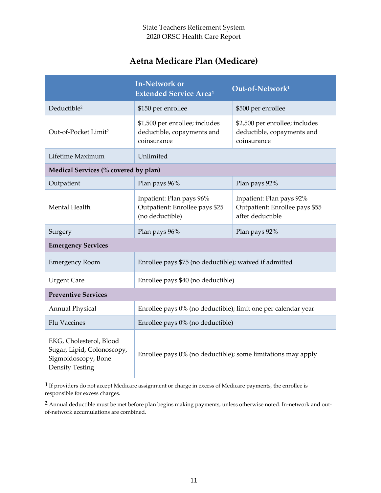## **Aetna Medicare Plan (Medicare)**

|                                                                                                        | <b>In-Network or</b><br><b>Extended Service Area<sup>1</sup></b>              | Out-of-Network <sup>1</sup>                                                    |  |  |
|--------------------------------------------------------------------------------------------------------|-------------------------------------------------------------------------------|--------------------------------------------------------------------------------|--|--|
| Deductible <sup>2</sup>                                                                                | \$150 per enrollee                                                            | \$500 per enrollee                                                             |  |  |
| Out-of-Pocket Limit <sup>2</sup>                                                                       | \$1,500 per enrollee; includes<br>deductible, copayments and<br>coinsurance   | \$2,500 per enrollee; includes<br>deductible, copayments and<br>coinsurance    |  |  |
| Lifetime Maximum                                                                                       | Unlimited                                                                     |                                                                                |  |  |
| Medical Services (% covered by plan)                                                                   |                                                                               |                                                                                |  |  |
| Outpatient                                                                                             | Plan pays 96%                                                                 | Plan pays 92%                                                                  |  |  |
| Mental Health                                                                                          | Inpatient: Plan pays 96%<br>Outpatient: Enrollee pays \$25<br>(no deductible) | Inpatient: Plan pays 92%<br>Outpatient: Enrollee pays \$55<br>after deductible |  |  |
| Surgery                                                                                                | Plan pays 96%                                                                 | Plan pays 92%                                                                  |  |  |
| <b>Emergency Services</b>                                                                              |                                                                               |                                                                                |  |  |
| <b>Emergency Room</b>                                                                                  | Enrollee pays \$75 (no deductible); waived if admitted                        |                                                                                |  |  |
| <b>Urgent Care</b>                                                                                     | Enrollee pays \$40 (no deductible)                                            |                                                                                |  |  |
| <b>Preventive Services</b>                                                                             |                                                                               |                                                                                |  |  |
| <b>Annual Physical</b>                                                                                 | Enrollee pays 0% (no deductible); limit one per calendar year                 |                                                                                |  |  |
| <b>Flu Vaccines</b>                                                                                    | Enrollee pays 0% (no deductible)                                              |                                                                                |  |  |
| EKG, Cholesterol, Blood<br>Sugar, Lipid, Colonoscopy,<br>Sigmoidoscopy, Bone<br><b>Density Testing</b> | Enrollee pays 0% (no deductible); some limitations may apply                  |                                                                                |  |  |

**1** If providers do not accept Medicare assignment or charge in excess of Medicare payments, the enrollee is responsible for excess charges.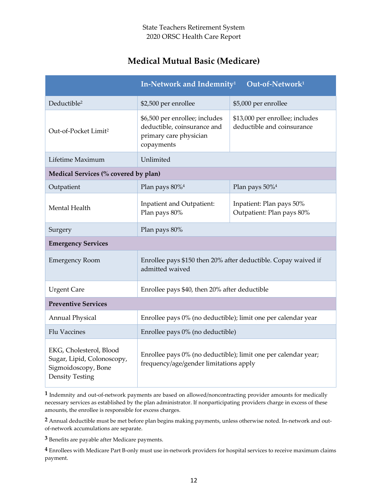# **Medical Mutual Basic (Medicare)**

|                                                                                                        | In-Network and Indemnity <sup>1</sup>                                                                    | Out-of-Network <sup>1</sup>                                   |  |
|--------------------------------------------------------------------------------------------------------|----------------------------------------------------------------------------------------------------------|---------------------------------------------------------------|--|
| Deductible <sup>2</sup>                                                                                | \$2,500 per enrollee                                                                                     | \$5,000 per enrollee                                          |  |
| Out-of-Pocket Limit <sup>2</sup>                                                                       | \$6,500 per enrollee; includes<br>deductible, coinsurance and<br>primary care physician<br>copayments    | \$13,000 per enrollee; includes<br>deductible and coinsurance |  |
| Lifetime Maximum                                                                                       | Unlimited                                                                                                |                                                               |  |
| Medical Services (% covered by plan)                                                                   |                                                                                                          |                                                               |  |
| Outpatient                                                                                             | Plan pays 80% <sup>4</sup>                                                                               | Plan pays 50% <sup>4</sup>                                    |  |
| Mental Health                                                                                          | Inpatient and Outpatient:<br>Plan pays 80%                                                               | Inpatient: Plan pays 50%<br>Outpatient: Plan pays 80%         |  |
| Surgery                                                                                                | Plan pays 80%                                                                                            |                                                               |  |
| <b>Emergency Services</b>                                                                              |                                                                                                          |                                                               |  |
| <b>Emergency Room</b>                                                                                  | Enrollee pays \$150 then 20% after deductible. Copay waived if<br>admitted waived                        |                                                               |  |
| <b>Urgent Care</b>                                                                                     | Enrollee pays \$40, then 20% after deductible                                                            |                                                               |  |
| <b>Preventive Services</b>                                                                             |                                                                                                          |                                                               |  |
| <b>Annual Physical</b>                                                                                 | Enrollee pays 0% (no deductible); limit one per calendar year                                            |                                                               |  |
| <b>Flu Vaccines</b>                                                                                    | Enrollee pays 0% (no deductible)                                                                         |                                                               |  |
| EKG, Cholesterol, Blood<br>Sugar, Lipid, Colonoscopy,<br>Sigmoidoscopy, Bone<br><b>Density Testing</b> | Enrollee pays 0% (no deductible); limit one per calendar year;<br>frequency/age/gender limitations apply |                                                               |  |

**1** Indemnity and out-of-network payments are based on allowed/noncontracting provider amounts for medically necessary services as established by the plan administrator. If nonparticipating providers charge in excess of these amounts, the enrollee is responsible for excess charges.

**2** Annual deductible must be met before plan begins making payments, unless otherwise noted. In-network and outof-network accumulations are separate.

**3** Benefits are payable after Medicare payments.

**4** Enrollees with Medicare Part B-only must use in-network providers for hospital services to receive maximum claims payment.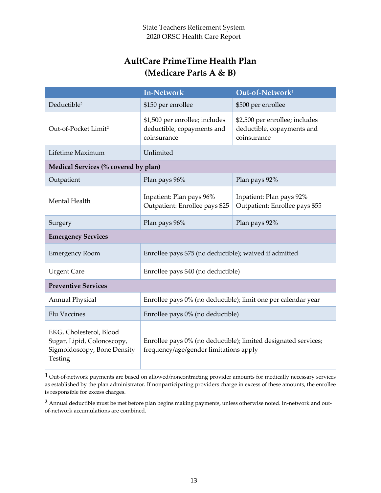# **AultCare PrimeTime Health Plan (Medicare Parts A & B)**

|                                                                                                 | <b>In-Network</b>                                                                                        | Out-of-Network <sup>1</sup>                                                 |  |
|-------------------------------------------------------------------------------------------------|----------------------------------------------------------------------------------------------------------|-----------------------------------------------------------------------------|--|
| Deductible <sup>2</sup>                                                                         | \$150 per enrollee                                                                                       | \$500 per enrollee                                                          |  |
| Out-of-Pocket Limit <sup>2</sup>                                                                | \$1,500 per enrollee; includes<br>deductible, copayments and<br>coinsurance                              | \$2,500 per enrollee; includes<br>deductible, copayments and<br>coinsurance |  |
| Lifetime Maximum                                                                                | Unlimited                                                                                                |                                                                             |  |
| Medical Services (% covered by plan)                                                            |                                                                                                          |                                                                             |  |
| Outpatient                                                                                      | Plan pays 96%                                                                                            | Plan pays 92%                                                               |  |
| Mental Health                                                                                   | Inpatient: Plan pays 96%<br>Outpatient: Enrollee pays \$25                                               | Inpatient: Plan pays 92%<br>Outpatient: Enrollee pays \$55                  |  |
| Surgery                                                                                         | Plan pays 96%                                                                                            | Plan pays 92%                                                               |  |
| <b>Emergency Services</b>                                                                       |                                                                                                          |                                                                             |  |
| <b>Emergency Room</b>                                                                           | Enrollee pays \$75 (no deductible); waived if admitted                                                   |                                                                             |  |
| <b>Urgent Care</b>                                                                              | Enrollee pays \$40 (no deductible)                                                                       |                                                                             |  |
| <b>Preventive Services</b>                                                                      |                                                                                                          |                                                                             |  |
| <b>Annual Physical</b>                                                                          | Enrollee pays 0% (no deductible); limit one per calendar year                                            |                                                                             |  |
| Flu Vaccines                                                                                    | Enrollee pays 0% (no deductible)                                                                         |                                                                             |  |
| EKG, Cholesterol, Blood<br>Sugar, Lipid, Colonoscopy,<br>Sigmoidoscopy, Bone Density<br>Testing | Enrollee pays 0% (no deductible); limited designated services;<br>frequency/age/gender limitations apply |                                                                             |  |

**1** Out-of-network payments are based on allowed/noncontracting provider amounts for medically necessary services as established by the plan administrator. If nonparticipating providers charge in excess of these amounts, the enrollee is responsible for excess charges.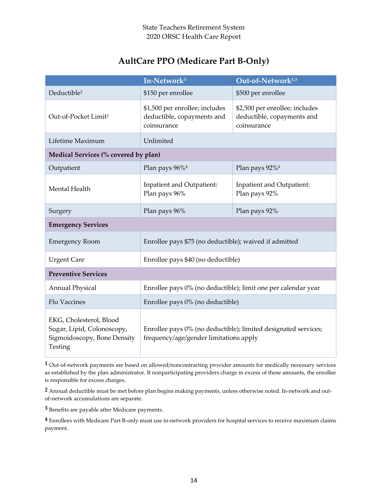## **AultCare PPO (Medicare Part B-Only)**

|                                                                                                 | In-Network <sup>3</sup>                                                                                  | Out-of-Network <sup>1,3</sup>                                               |  |  |  |  |
|-------------------------------------------------------------------------------------------------|----------------------------------------------------------------------------------------------------------|-----------------------------------------------------------------------------|--|--|--|--|
| Deductible <sup>2</sup>                                                                         | \$150 per enrollee<br>\$500 per enrollee                                                                 |                                                                             |  |  |  |  |
| Out-of-Pocket Limit <sup>2</sup>                                                                | \$1,500 per enrollee; includes<br>deductible, copayments and<br>coinsurance                              | \$2,500 per enrollee; includes<br>deductible, copayments and<br>coinsurance |  |  |  |  |
| Lifetime Maximum                                                                                | Unlimited                                                                                                |                                                                             |  |  |  |  |
| Medical Services (% covered by plan)                                                            |                                                                                                          |                                                                             |  |  |  |  |
| Outpatient                                                                                      | Plan pays 96% <sup>4</sup>                                                                               | Plan pays 92% <sup>4</sup>                                                  |  |  |  |  |
| Mental Health                                                                                   | Inpatient and Outpatient:<br>Plan pays 96%                                                               | Inpatient and Outpatient:<br>Plan pays 92%                                  |  |  |  |  |
| Surgery                                                                                         | Plan pays 96%<br>Plan pays 92%                                                                           |                                                                             |  |  |  |  |
| <b>Emergency Services</b>                                                                       |                                                                                                          |                                                                             |  |  |  |  |
| <b>Emergency Room</b><br>Enrollee pays \$75 (no deductible); waived if admitted                 |                                                                                                          |                                                                             |  |  |  |  |
| <b>Urgent Care</b>                                                                              | Enrollee pays \$40 (no deductible)                                                                       |                                                                             |  |  |  |  |
| <b>Preventive Services</b>                                                                      |                                                                                                          |                                                                             |  |  |  |  |
| <b>Annual Physical</b>                                                                          | Enrollee pays 0% (no deductible); limit one per calendar year                                            |                                                                             |  |  |  |  |
| <b>Flu Vaccines</b>                                                                             | Enrollee pays 0% (no deductible)                                                                         |                                                                             |  |  |  |  |
| EKG, Cholesterol, Blood<br>Sugar, Lipid, Colonoscopy,<br>Sigmoidoscopy, Bone Density<br>Testing | Enrollee pays 0% (no deductible); limited designated services;<br>frequency/age/gender limitations apply |                                                                             |  |  |  |  |

**1** Out-of-network payments are based on allowed/noncontracting provider amounts for medically necessary services as established by the plan administrator. If nonparticipating providers charge in excess of these amounts, the enrollee is responsible for excess charges.

**2** Annual deductible must be met before plan begins making payments, unless otherwise noted. In-network and outof-network accumulations are separate.

**3** Benefits are payable after Medicare payments.

**4** Enrollees with Medicare Part B-only must use in-network providers for hospital services to receive maximum claims payment.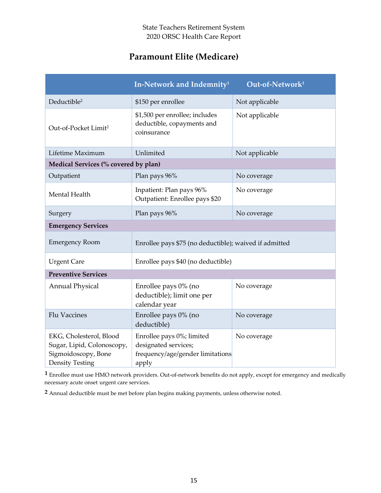## **Paramount Elite (Medicare)**

|                                                                                                        | In-Network and Indemnity <sup>1</sup>                                                          | Out-of-Network <sup>1</sup> |  |  |  |  |
|--------------------------------------------------------------------------------------------------------|------------------------------------------------------------------------------------------------|-----------------------------|--|--|--|--|
| Deductible <sup>2</sup>                                                                                | \$150 per enrollee                                                                             | Not applicable              |  |  |  |  |
| Out-of-Pocket Limit <sup>2</sup>                                                                       | \$1,500 per enrollee; includes<br>deductible, copayments and<br>coinsurance                    | Not applicable              |  |  |  |  |
| Lifetime Maximum                                                                                       | Unlimited                                                                                      | Not applicable              |  |  |  |  |
| Medical Services (% covered by plan)                                                                   |                                                                                                |                             |  |  |  |  |
| Outpatient                                                                                             | Plan pays 96%                                                                                  | No coverage                 |  |  |  |  |
| Mental Health                                                                                          | Inpatient: Plan pays 96%<br>Outpatient: Enrollee pays \$20                                     | No coverage                 |  |  |  |  |
| Surgery                                                                                                | Plan pays 96%<br>No coverage                                                                   |                             |  |  |  |  |
| <b>Emergency Services</b>                                                                              |                                                                                                |                             |  |  |  |  |
| <b>Emergency Room</b>                                                                                  | Enrollee pays \$75 (no deductible); waived if admitted                                         |                             |  |  |  |  |
| <b>Urgent Care</b>                                                                                     | Enrollee pays \$40 (no deductible)                                                             |                             |  |  |  |  |
| <b>Preventive Services</b>                                                                             |                                                                                                |                             |  |  |  |  |
| <b>Annual Physical</b>                                                                                 | Enrollee pays 0% (no<br>deductible); limit one per<br>calendar year                            | No coverage                 |  |  |  |  |
| <b>Flu Vaccines</b>                                                                                    | Enrollee pays 0% (no<br>deductible)                                                            | No coverage                 |  |  |  |  |
| EKG, Cholesterol, Blood<br>Sugar, Lipid, Colonoscopy,<br>Sigmoidoscopy, Bone<br><b>Density Testing</b> | Enrollee pays 0%; limited<br>designated services;<br>frequency/age/gender limitations<br>apply | No coverage                 |  |  |  |  |

**1** Enrollee must use HMO network providers. Out-of-network benefits do not apply, except for emergency and medically necessary acute onset urgent care services.

**2** Annual deductible must be met before plan begins making payments, unless otherwise noted.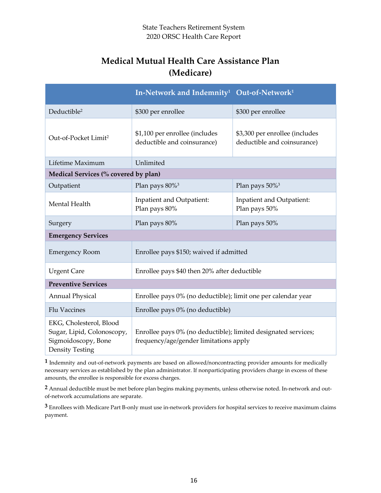# **Medical Mutual Health Care Assistance Plan (Medicare)**

|                                                                                                        | In-Network and Indemnity <sup>1</sup> Out-of-Network <sup>1</sup>                                        |                                                               |  |  |  |  |
|--------------------------------------------------------------------------------------------------------|----------------------------------------------------------------------------------------------------------|---------------------------------------------------------------|--|--|--|--|
| Deductible <sup>2</sup>                                                                                | \$300 per enrollee                                                                                       | \$300 per enrollee                                            |  |  |  |  |
| Out-of-Pocket Limit <sup>2</sup>                                                                       | \$1,100 per enrollee (includes<br>deductible and coinsurance)                                            | \$3,300 per enrollee (includes<br>deductible and coinsurance) |  |  |  |  |
| Lifetime Maximum                                                                                       | Unlimited                                                                                                |                                                               |  |  |  |  |
| Medical Services (% covered by plan)                                                                   |                                                                                                          |                                                               |  |  |  |  |
| Outpatient                                                                                             | Plan pays 80% <sup>3</sup>                                                                               | Plan pays 50% <sup>3</sup>                                    |  |  |  |  |
| Mental Health                                                                                          | Inpatient and Outpatient:<br>Plan pays 80%                                                               | Inpatient and Outpatient:<br>Plan pays 50%                    |  |  |  |  |
| Surgery                                                                                                | Plan pays 80%<br>Plan pays 50%                                                                           |                                                               |  |  |  |  |
| <b>Emergency Services</b>                                                                              |                                                                                                          |                                                               |  |  |  |  |
| <b>Emergency Room</b>                                                                                  | Enrollee pays \$150; waived if admitted                                                                  |                                                               |  |  |  |  |
| <b>Urgent Care</b>                                                                                     | Enrollee pays \$40 then 20% after deductible                                                             |                                                               |  |  |  |  |
| <b>Preventive Services</b>                                                                             |                                                                                                          |                                                               |  |  |  |  |
| <b>Annual Physical</b>                                                                                 | Enrollee pays 0% (no deductible); limit one per calendar year                                            |                                                               |  |  |  |  |
| <b>Flu Vaccines</b>                                                                                    | Enrollee pays 0% (no deductible)                                                                         |                                                               |  |  |  |  |
| EKG, Cholesterol, Blood<br>Sugar, Lipid, Colonoscopy,<br>Sigmoidoscopy, Bone<br><b>Density Testing</b> | Enrollee pays 0% (no deductible); limited designated services;<br>frequency/age/gender limitations apply |                                                               |  |  |  |  |

**1** Indemnity and out-of-network payments are based on allowed/noncontracting provider amounts for medically necessary services as established by the plan administrator. If nonparticipating providers charge in excess of these amounts, the enrollee is responsible for excess charges.

**2** Annual deductible must be met before plan begins making payments, unless otherwise noted. In-network and outof-network accumulations are separate.

**3** Enrollees with Medicare Part B-only must use in-network providers for hospital services to receive maximum claims payment.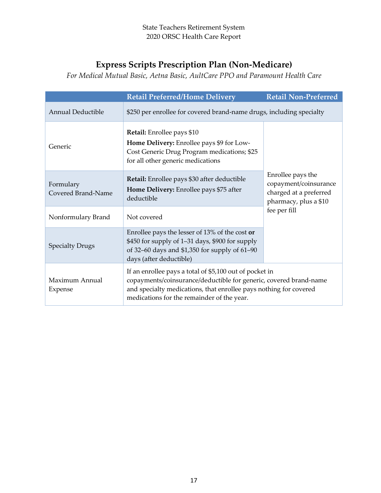# **Express Scripts Prescription Plan (Non-Medicare)**

*For Medical Mutual Basic, Aetna Basic, AultCare PPO and Paramount Health Care*

|                                 | <b>Retail Preferred/Home Delivery</b>                                                                                                                                                                                                           | <b>Retail Non-Preferred</b> |  |  |  |  |
|---------------------------------|-------------------------------------------------------------------------------------------------------------------------------------------------------------------------------------------------------------------------------------------------|-----------------------------|--|--|--|--|
| <b>Annual Deductible</b>        | \$250 per enrollee for covered brand-name drugs, including specialty                                                                                                                                                                            |                             |  |  |  |  |
| Generic                         | <b>Retail:</b> Enrollee pays \$10<br>Home Delivery: Enrollee pays \$9 for Low-<br>Cost Generic Drug Program medications; \$25<br>for all other generic medications                                                                              |                             |  |  |  |  |
| Formulary<br>Covered Brand-Name | <b>Retail:</b> Enrollee pays \$30 after deductible<br>Home Delivery: Enrollee pays \$75 after<br>deductible                                                                                                                                     |                             |  |  |  |  |
| Nonformulary Brand              | Not covered                                                                                                                                                                                                                                     | fee per fill                |  |  |  |  |
| <b>Specialty Drugs</b>          | Enrollee pays the lesser of 13% of the cost or<br>\$450 for supply of 1–31 days, \$900 for supply<br>of 32-60 days and \$1,350 for supply of 61-90<br>days (after deductible)                                                                   |                             |  |  |  |  |
| Maximum Annual<br>Expense       | If an enrollee pays a total of \$5,100 out of pocket in<br>copayments/coinsurance/deductible for generic, covered brand-name<br>and specialty medications, that enrollee pays nothing for covered<br>medications for the remainder of the year. |                             |  |  |  |  |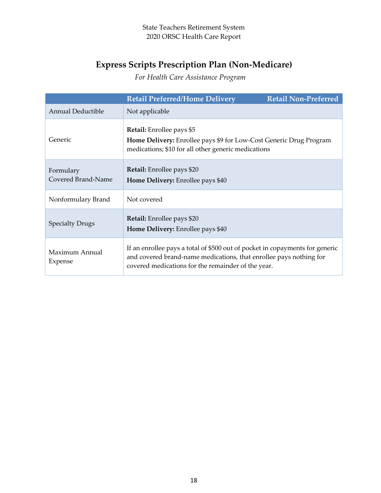# **Express Scripts Prescription Plan (Non-Medicare)**

*For Health Care Assistance Program*

|                                 | <b>Retail Preferred/Home Delivery</b>                                                                                                                                                                    | <b>Retail Non-Preferred</b> |  |  |  |  |
|---------------------------------|----------------------------------------------------------------------------------------------------------------------------------------------------------------------------------------------------------|-----------------------------|--|--|--|--|
| <b>Annual Deductible</b>        | Not applicable                                                                                                                                                                                           |                             |  |  |  |  |
| Generic                         | <b>Retail:</b> Enrollee pays \$5<br>Home Delivery: Enrollee pays \$9 for Low-Cost Generic Drug Program<br>medications; \$10 for all other generic medications                                            |                             |  |  |  |  |
| Formulary<br>Covered Brand-Name | Retail: Enrollee pays \$20<br><b>Home Delivery:</b> Enrollee pays \$40                                                                                                                                   |                             |  |  |  |  |
| Nonformulary Brand              | Not covered                                                                                                                                                                                              |                             |  |  |  |  |
| <b>Specialty Drugs</b>          | <b>Retail:</b> Enrollee pays \$20<br>Home Delivery: Enrollee pays \$40                                                                                                                                   |                             |  |  |  |  |
| Maximum Annual<br>Expense       | If an enrollee pays a total of \$500 out of pocket in copayments for generic<br>and covered brand-name medications, that enrollee pays nothing for<br>covered medications for the remainder of the year. |                             |  |  |  |  |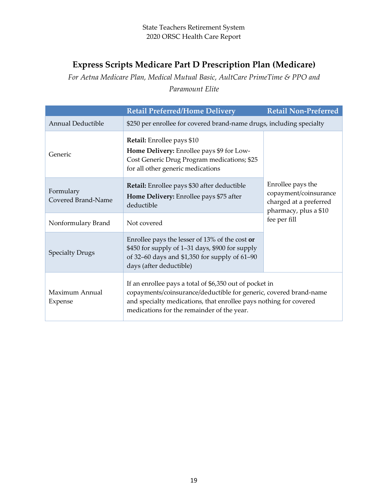# **Express Scripts Medicare Part D Prescription Plan (Medicare)**

*For Aetna Medicare Plan, Medical Mutual Basic, AultCare PrimeTime & PPO and Paramount Elite*

|                                 | <b>Retail Preferred/Home Delivery</b>                                                                                                                                                                                                           |                                       |  |  |  |  |  |
|---------------------------------|-------------------------------------------------------------------------------------------------------------------------------------------------------------------------------------------------------------------------------------------------|---------------------------------------|--|--|--|--|--|
| Annual Deductible               | \$250 per enrollee for covered brand-name drugs, including specialty                                                                                                                                                                            |                                       |  |  |  |  |  |
| Generic                         | <b>Retail:</b> Enrollee pays \$10<br>Home Delivery: Enrollee pays \$9 for Low-<br>Cost Generic Drug Program medications; \$25<br>for all other generic medications                                                                              |                                       |  |  |  |  |  |
| Formulary<br>Covered Brand-Name | Retail: Enrollee pays \$30 after deductible<br>Home Delivery: Enrollee pays \$75 after<br>deductible                                                                                                                                            |                                       |  |  |  |  |  |
| Nonformulary Brand              | Not covered                                                                                                                                                                                                                                     | pharmacy, plus a \$10<br>fee per fill |  |  |  |  |  |
| <b>Specialty Drugs</b>          | Enrollee pays the lesser of $13\%$ of the cost or<br>\$450 for supply of 1–31 days, \$900 for supply<br>of 32-60 days and \$1,350 for supply of 61-90<br>days (after deductible)                                                                |                                       |  |  |  |  |  |
| Maximum Annual<br>Expense       | If an enrollee pays a total of \$6,350 out of pocket in<br>copayments/coinsurance/deductible for generic, covered brand-name<br>and specialty medications, that enrollee pays nothing for covered<br>medications for the remainder of the year. |                                       |  |  |  |  |  |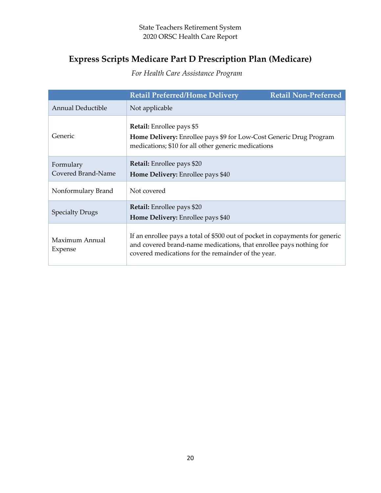# **Express Scripts Medicare Part D Prescription Plan (Medicare)**

*For Health Care Assistance Program*

|                                 | <b>Retail Preferred/Home Delivery</b>                                                                                                                                                                    | <b>Retail Non-Preferred</b> |  |  |  |
|---------------------------------|----------------------------------------------------------------------------------------------------------------------------------------------------------------------------------------------------------|-----------------------------|--|--|--|
| <b>Annual Deductible</b>        | Not applicable                                                                                                                                                                                           |                             |  |  |  |
| Generic                         | <b>Retail:</b> Enrollee pays \$5<br>Home Delivery: Enrollee pays \$9 for Low-Cost Generic Drug Program<br>medications; \$10 for all other generic medications                                            |                             |  |  |  |
| Formulary<br>Covered Brand-Name | <b>Retail:</b> Enrollee pays \$20<br>Home Delivery: Enrollee pays \$40                                                                                                                                   |                             |  |  |  |
| Nonformulary Brand              | Not covered                                                                                                                                                                                              |                             |  |  |  |
| <b>Specialty Drugs</b>          | Retail: Enrollee pays \$20<br>Home Delivery: Enrollee pays \$40                                                                                                                                          |                             |  |  |  |
| Maximum Annual<br>Expense       | If an enrollee pays a total of \$500 out of pocket in copayments for generic<br>and covered brand-name medications, that enrollee pays nothing for<br>covered medications for the remainder of the year. |                             |  |  |  |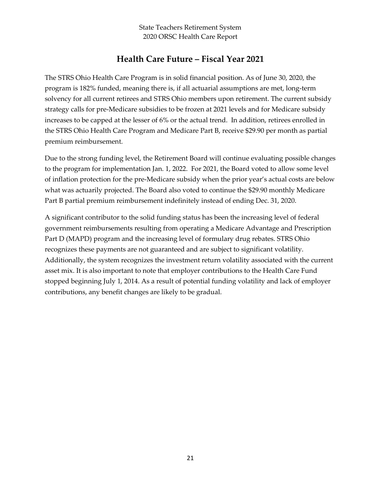## **Health Care Future – Fiscal Year 2021**

The STRS Ohio Health Care Program is in solid financial position. As of June 30, 2020, the program is 182% funded, meaning there is, if all actuarial assumptions are met, long-term solvency for all current retirees and STRS Ohio members upon retirement. The current subsidy strategy calls for pre-Medicare subsidies to be frozen at 2021 levels and for Medicare subsidy increases to be capped at the lesser of 6% or the actual trend. In addition, retirees enrolled in the STRS Ohio Health Care Program and Medicare Part B, receive \$29.90 per month as partial premium reimbursement.

Due to the strong funding level, the Retirement Board will continue evaluating possible changes to the program for implementation Jan. 1, 2022. For 2021, the Board voted to allow some level of inflation protection for the pre-Medicare subsidy when the prior year's actual costs are below what was actuarily projected. The Board also voted to continue the \$29.90 monthly Medicare Part B partial premium reimbursement indefinitely instead of ending Dec. 31, 2020.

A significant contributor to the solid funding status has been the increasing level of federal government reimbursements resulting from operating a Medicare Advantage and Prescription Part D (MAPD) program and the increasing level of formulary drug rebates. STRS Ohio recognizes these payments are not guaranteed and are subject to significant volatility. Additionally, the system recognizes the investment return volatility associated with the current asset mix. It is also important to note that employer contributions to the Health Care Fund stopped beginning July 1, 2014. As a result of potential funding volatility and lack of employer contributions, any benefit changes are likely to be gradual.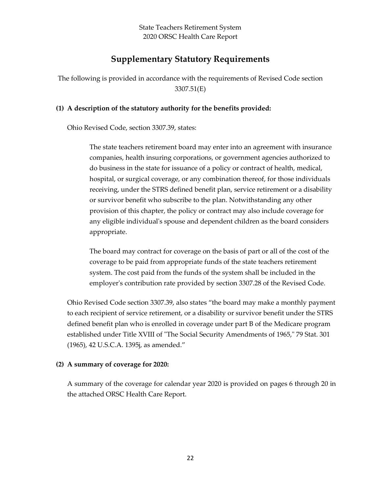## **Supplementary Statutory Requirements**

The following is provided in accordance with the requirements of Revised Code section 3307.51(E)

#### **(1) A description of the statutory authority for the benefits provided:**

Ohio Revised Code, section 3307.39, states:

The state teachers retirement board may enter into an agreement with insurance companies, health insuring corporations, or government agencies authorized to do business in the state for issuance of a policy or contract of health, medical, hospital, or surgical coverage, or any combination thereof, for those individuals receiving, under the STRS defined benefit plan, service retirement or a disability or survivor benefit who subscribe to the plan. Notwithstanding any other provision of this chapter, the policy or contract may also include coverage for any eligible individual's spouse and dependent children as the board considers appropriate.

The board may contract for coverage on the basis of part or all of the cost of the coverage to be paid from appropriate funds of the state teachers retirement system. The cost paid from the funds of the system shall be included in the employer's contribution rate provided by section [3307.28](http://codes.ohio.gov/orc/3307.28) of the Revised Code.

Ohio Revised Code section 3307.39, also states "the board may make a monthly payment to each recipient of service retirement, or a disability or survivor benefit under the STRS defined benefit plan who is enrolled in coverage under part B of the Medicare program established under Title XVIII of "The Social Security Amendments of 1965," 79 Stat. 301 (1965), 42 U.S.C.A. 1395j, as amended."

#### **(2) A summary of coverage for 2020:**

A summary of the coverage for calendar year 2020 is provided on pages 6 through 20 in the attached ORSC Health Care Report.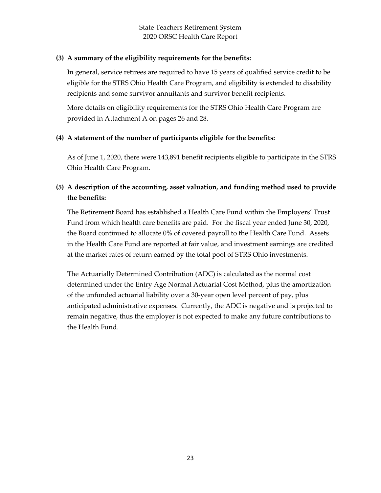### **(3) A summary of the eligibility requirements for the benefits:**

In general, service retirees are required to have 15 years of qualified service credit to be eligible for the STRS Ohio Health Care Program, and eligibility is extended to disability recipients and some survivor annuitants and survivor benefit recipients.

More details on eligibility requirements for the STRS Ohio Health Care Program are provided in Attachment A on pages 26 and 28.

### **(4) A statement of the number of participants eligible for the benefits:**

As of June 1, 2020, there were 143,891 benefit recipients eligible to participate in the STRS Ohio Health Care Program.

### **(5) A description of the accounting, asset valuation, and funding method used to provide the benefits:**

The Retirement Board has established a Health Care Fund within the Employers' Trust Fund from which health care benefits are paid. For the fiscal year ended June 30, 2020, the Board continued to allocate 0% of covered payroll to the Health Care Fund. Assets in the Health Care Fund are reported at fair value, and investment earnings are credited at the market rates of return earned by the total pool of STRS Ohio investments.

The Actuarially Determined Contribution (ADC) is calculated as the normal cost determined under the Entry Age Normal Actuarial Cost Method, plus the amortization of the unfunded actuarial liability over a 30-year open level percent of pay, plus anticipated administrative expenses. Currently, the ADC is negative and is projected to remain negative, thus the employer is not expected to make any future contributions to the Health Fund.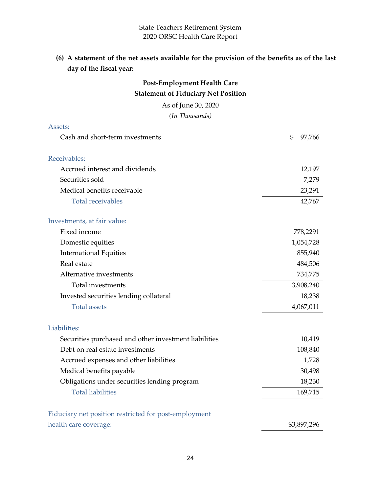## **(6) A statement of the net assets available for the provision of the benefits as of the last day of the fiscal year:**

| <b>Post-Employment Health Care</b>                    |              |
|-------------------------------------------------------|--------------|
| <b>Statement of Fiduciary Net Position</b>            |              |
| As of June 30, 2020                                   |              |
| (In Thousands)                                        |              |
| Assets:                                               |              |
| Cash and short-term investments                       | \$<br>97,766 |
| Receivables:                                          |              |
| Accrued interest and dividends                        | 12,197       |
| Securities sold                                       | 7,279        |
| Medical benefits receivable                           | 23,291       |
| <b>Total receivables</b>                              | 42,767       |
| Investments, at fair value:                           |              |
| Fixed income                                          | 778,2291     |
| Domestic equities                                     | 1,054,728    |
| <b>International Equities</b>                         | 855,940      |
| Real estate                                           | 484,506      |
| Alternative investments                               | 734,775      |
| Total investments                                     | 3,908,240    |
| Invested securities lending collateral                | 18,238       |
| <b>Total assets</b>                                   | 4,067,011    |
| Liabilities:                                          |              |
| Securities purchased and other investment liabilities | 10,419       |
| Debt on real estate investments                       | 108,840      |
| Accrued expenses and other liabilities                | 1,728        |
| Medical benefits payable                              | 30,498       |
| Obligations under securities lending program          | 18,230       |
| <b>Total liabilities</b>                              | 169,715      |
| Fiduciary net position restricted for post-employment |              |
| health care coverage:                                 | \$3,897,296  |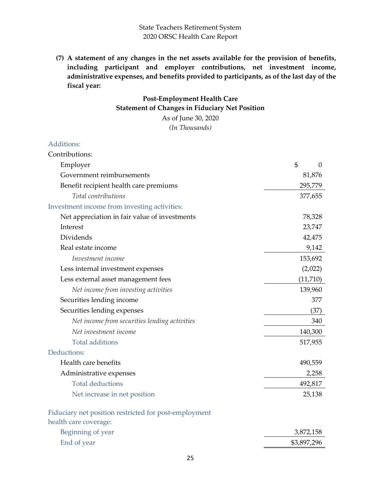**(7) A statement of any changes in the net assets available for the provision of benefits, including participant and employer contributions, net investment income, administrative expenses, and benefits provided to participants, as of the last day of the fiscal year:**

## **Post-Employment Health Care Statement of Changes in Fiduciary Net Position**

As of June 30, 2020 *(In Thousands)*

#### Additions:

| Contributions:                                        |             |
|-------------------------------------------------------|-------------|
| Employer                                              | \$<br>0     |
| Government reimbursements                             | 81,876      |
| Benefit recipient health care premiums                | 295,779     |
| Total contributions                                   | 377,655     |
| Investment income from investing activities:          |             |
| Net appreciation in fair value of investments         | 78,328      |
| Interest                                              | 23,747      |
| Dividends                                             | 42,475      |
| Real estate income                                    | 9,142       |
| Investment income                                     | 153,692     |
| Less internal investment expenses                     | (2,022)     |
| Less external asset management fees                   | (11, 710)   |
| Net income from investing activities                  | 139,960     |
| Securities lending income                             | 377         |
| Securities lending expenses                           | (37)        |
| Net income from securities lending activities         | 340         |
| Net investment income                                 | 140,300     |
| <b>Total additions</b>                                | 517,955     |
| Deductions:                                           |             |
| Health care benefits                                  | 490,559     |
| Administrative expenses                               | 2,258       |
| <b>Total deductions</b>                               | 492,817     |
| Net increase in net position                          | 25,138      |
| Fiduciary net position restricted for post-employment |             |
| health care coverage:                                 |             |
| Beginning of year                                     | 3,872,158   |
| End of year                                           | \$3,897,296 |
|                                                       |             |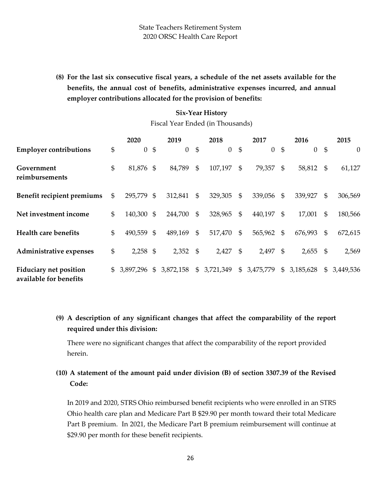**(8) For the last six consecutive fiscal years, a schedule of the net assets available for the benefits, the annual cost of benefits, administrative expenses incurred, and annual employer contributions allocated for the provision of benefits:**

### **Six-Year History**

Fiscal Year Ended (in Thousands)

|                                                         |                | 2020           |                | 2019           |                | 2018      |                | 2017       |                | 2016      |                | 2015      |
|---------------------------------------------------------|----------------|----------------|----------------|----------------|----------------|-----------|----------------|------------|----------------|-----------|----------------|-----------|
| <b>Employer contributions</b>                           | \$             | $\overline{0}$ | $\mathfrak{S}$ | $\overline{0}$ | $\mathfrak{S}$ | $\theta$  | \$             | $\theta$   | $\mathfrak{S}$ | $\theta$  | $\mathfrak{S}$ | $\theta$  |
| Government<br>reimbursements                            | \$             | 81,876 \$      |                | 84,789         | $\mathfrak{S}$ | 107,197   | \$             | 79,357     | $\mathfrak s$  | 58,812    | - \$           | 61,127    |
| Benefit recipient premiums                              | \$             | 295,779 \$     |                | 312,841        | \$             | 329,305   | \$             | 339,056    | -\$            | 339,927   | \$             | 306,569   |
| Net investment income                                   | \$             | 140,300 \$     |                | 244,700        | \$             | 328,965   | $\mathfrak{S}$ | 440,197    | - \$           | 17,001    | \$             | 180,566   |
| <b>Health care benefits</b>                             | \$             | 490,559 \$     |                | 489,169        | $\mathfrak{S}$ | 517,470   | $\mathfrak{S}$ | 565,962 \$ |                | 676,993   | \$             | 672,615   |
| Administrative expenses                                 | \$             | $2,258$ \$     |                | 2,352          | \$             | 2,427     | -\$            | 2,497      | \$             | 2,655     | \$             | 2,569     |
| <b>Fiduciary net position</b><br>available for benefits | $\mathbb{S}^-$ | 3,897,296      | $\mathfrak{S}$ | 3,872,158      | $\mathfrak{S}$ | 3,721,349 | $\mathfrak{S}$ | 3,475,779  | $\mathfrak{S}$ | 3,185,628 | \$             | 3,449,536 |

**(9) A description of any significant changes that affect the comparability of the report required under this division:**

There were no significant changes that affect the comparability of the report provided herein.

**(10) A statement of the amount paid under division (B) of section 3307.39 of the Revised Code:**

In 2019 and 2020, STRS Ohio reimbursed benefit recipients who were enrolled in an STRS Ohio health care plan and Medicare Part B \$29.90 per month toward their total Medicare Part B premium. In 2021, the Medicare Part B premium reimbursement will continue at \$29.90 per month for these benefit recipients.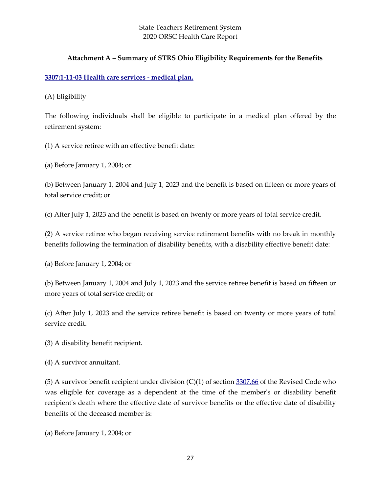### **Attachment A – Summary of STRS Ohio Eligibility Requirements for the Benefits**

#### **[3307:1-11-03 Health care services -](http://codes.ohio.gov/oac/3307:1-11-03v1) medical plan.**

(A) Eligibility

The following individuals shall be eligible to participate in a medical plan offered by the retirement system:

(1) A service retiree with an effective benefit date:

(a) Before January 1, 2004; or

(b) Between January 1, 2004 and July 1, 2023 and the benefit is based on fifteen or more years of total service credit; or

(c) After July 1, 2023 and the benefit is based on twenty or more years of total service credit.

(2) A service retiree who began receiving service retirement benefits with no break in monthly benefits following the termination of disability benefits, with a disability effective benefit date:

(a) Before January 1, 2004; or

(b) Between January 1, 2004 and July 1, 2023 and the service retiree benefit is based on fifteen or more years of total service credit; or

(c) After July 1, 2023 and the service retiree benefit is based on twenty or more years of total service credit.

(3) A disability benefit recipient.

(4) A survivor annuitant.

(5) A survivor benefit recipient under division (C)(1) of section [3307.66](http://codes.ohio.gov/orc/3307.66) of the Revised Code who was eligible for coverage as a dependent at the time of the member's or disability benefit recipient's death where the effective date of survivor benefits or the effective date of disability benefits of the deceased member is:

(a) Before January 1, 2004; or